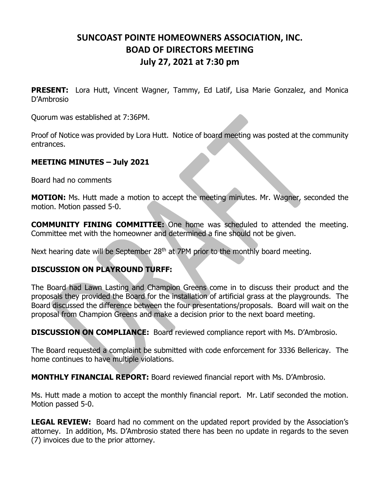## **SUNCOAST POINTE HOMEOWNERS ASSOCIATION, INC. BOAD OF DIRECTORS MEETING July 27, 2021 at 7:30 pm**

**PRESENT:** Lora Hutt, Vincent Wagner, Tammy, Ed Latif, Lisa Marie Gonzalez, and Monica D'Ambrosio

Quorum was established at 7:36PM.

Proof of Notice was provided by Lora Hutt. Notice of board meeting was posted at the community entrances.

## **MEETING MINUTES – July 2021**

Board had no comments

**MOTION:** Ms. Hutt made a motion to accept the meeting minutes. Mr. Wagner, seconded the motion. Motion passed 5-0.

**COMMUNITY FINING COMMITTEE:** One home was scheduled to attended the meeting. Committee met with the homeowner and determined a fine should not be given.

Next hearing date will be September 28<sup>th</sup> at 7PM prior to the monthly board meeting.

## **DISCUSSION ON PLAYROUND TURFF:**

The Board had Lawn Lasting and Champion Greens come in to discuss their product and the proposals they provided the Board for the installation of artificial grass at the playgrounds. The Board discussed the difference between the four presentations/proposals. Board will wait on the proposal from Champion Greens and make a decision prior to the next board meeting.

**DISCUSSION ON COMPLIANCE:** Board reviewed compliance report with Ms. D'Ambrosio.

The Board requested a complaint be submitted with code enforcement for 3336 Bellericay. The home continues to have multiple violations.

**MONTHLY FINANCIAL REPORT:** Board reviewed financial report with Ms. D'Ambrosio.

Ms. Hutt made a motion to accept the monthly financial report. Mr. Latif seconded the motion. Motion passed 5-0.

**LEGAL REVIEW:** Board had no comment on the updated report provided by the Association's attorney. In addition, Ms. D'Ambrosio stated there has been no update in regards to the seven (7) invoices due to the prior attorney.